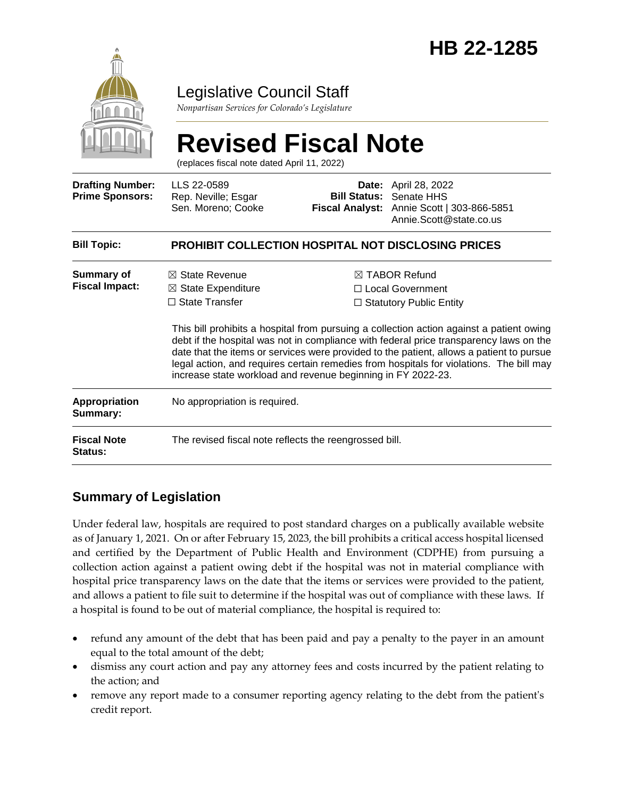

## Legislative Council Staff

*Nonpartisan Services for Colorado's Legislature*

# **Revised Fiscal Note**

(replaces fiscal note dated April 11, 2022)

| <b>Drafting Number:</b><br><b>Prime Sponsors:</b> | LLS 22-0589<br>Rep. Neville; Esgar<br>Sen. Moreno; Cooke                                                                                            |  | <b>Date:</b> April 28, 2022<br><b>Bill Status: Senate HHS</b><br>Fiscal Analyst: Annie Scott   303-866-5851<br>Annie.Scott@state.co.us                                                                                                                                                                                                                                                                                                                             |  |
|---------------------------------------------------|-----------------------------------------------------------------------------------------------------------------------------------------------------|--|--------------------------------------------------------------------------------------------------------------------------------------------------------------------------------------------------------------------------------------------------------------------------------------------------------------------------------------------------------------------------------------------------------------------------------------------------------------------|--|
| <b>Bill Topic:</b>                                | <b>PROHIBIT COLLECTION HOSPITAL NOT DISCLOSING PRICES</b>                                                                                           |  |                                                                                                                                                                                                                                                                                                                                                                                                                                                                    |  |
| <b>Summary of</b><br><b>Fiscal Impact:</b>        | $\boxtimes$ State Revenue<br>$\boxtimes$ State Expenditure<br>$\Box$ State Transfer<br>increase state workload and revenue beginning in FY 2022-23. |  | $\boxtimes$ TABOR Refund<br>$\Box$ Local Government<br>$\Box$ Statutory Public Entity<br>This bill prohibits a hospital from pursuing a collection action against a patient owing<br>debt if the hospital was not in compliance with federal price transparency laws on the<br>date that the items or services were provided to the patient, allows a patient to pursue<br>legal action, and requires certain remedies from hospitals for violations. The bill may |  |
| <b>Appropriation</b><br>Summary:                  | No appropriation is required.                                                                                                                       |  |                                                                                                                                                                                                                                                                                                                                                                                                                                                                    |  |
| <b>Fiscal Note</b><br><b>Status:</b>              | The revised fiscal note reflects the reengrossed bill.                                                                                              |  |                                                                                                                                                                                                                                                                                                                                                                                                                                                                    |  |

### **Summary of Legislation**

Under federal law, hospitals are required to post standard charges on a publically available website as of January 1, 2021. On or after February 15, 2023, the bill prohibits a critical access hospital licensed and certified by the Department of Public Health and Environment (CDPHE) from pursuing a collection action against a patient owing debt if the hospital was not in material compliance with hospital price transparency laws on the date that the items or services were provided to the patient, and allows a patient to file suit to determine if the hospital was out of compliance with these laws. If a hospital is found to be out of material compliance, the hospital is required to:

- refund any amount of the debt that has been paid and pay a penalty to the payer in an amount equal to the total amount of the debt;
- dismiss any court action and pay any attorney fees and costs incurred by the patient relating to the action; and
- remove any report made to a consumer reporting agency relating to the debt from the patient's credit report.